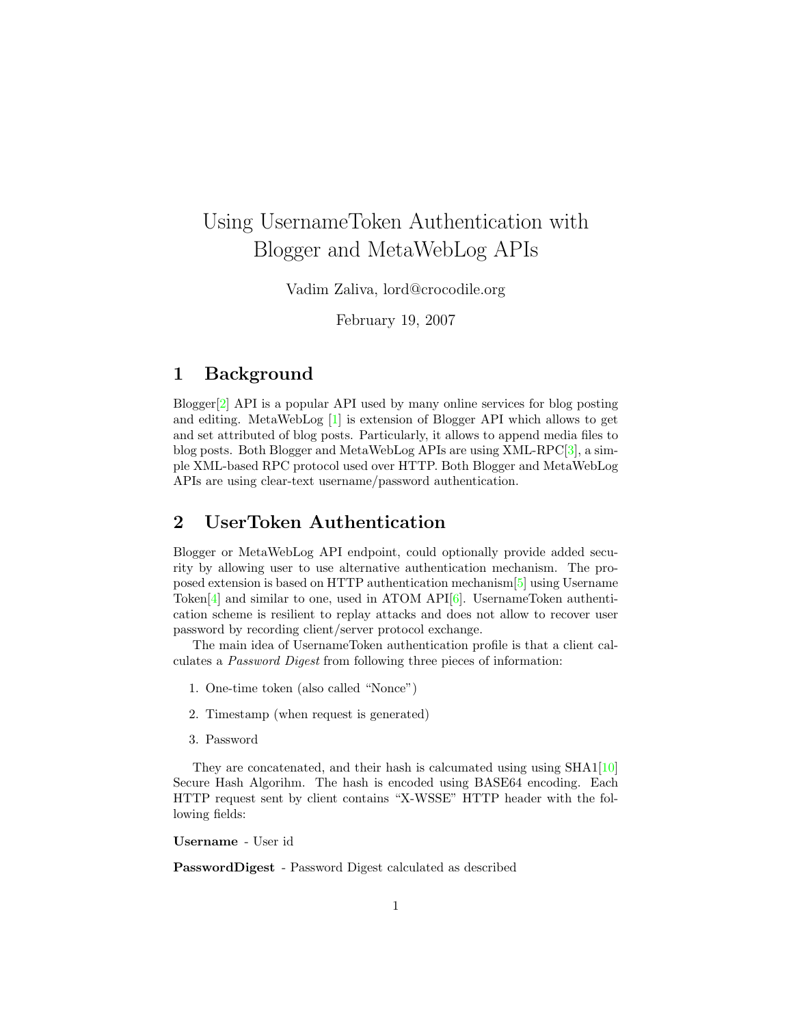# Using UsernameToken Authentication with Blogger and MetaWebLog APIs

Vadim Zaliva, lord@crocodile.org

February 19, 2007

#### 1 Background

Blogger[\[2\]](#page-2-0) API is a popular API used by many online services for blog posting and editing. MetaWebLog [\[1\]](#page-2-1) is extension of Blogger API which allows to get and set attributed of blog posts. Particularly, it allows to append media files to blog posts. Both Blogger and MetaWebLog APIs are using XML-RPC[\[3\]](#page-2-2), a simple XML-based RPC protocol used over HTTP. Both Blogger and MetaWebLog APIs are using clear-text username/password authentication.

### 2 UserToken Authentication

Blogger or MetaWebLog API endpoint, could optionally provide added security by allowing user to use alternative authentication mechanism. The proposed extension is based on HTTP authentication mechanism[\[5\]](#page-2-3) using Username Token[\[4\]](#page-2-4) and similar to one, used in ATOM API[\[6\]](#page-2-5). UsernameToken authentication scheme is resilient to replay attacks and does not allow to recover user password by recording client/server protocol exchange.

The main idea of UsernameToken authentication profile is that a client calculates a Password Digest from following three pieces of information:

- 1. One-time token (also called "Nonce")
- 2. Timestamp (when request is generated)
- 3. Password

They are concatenated, and their hash is calcumated using using SHA1[\[10\]](#page-2-6) Secure Hash Algorihm. The hash is encoded using BASE64 encoding. Each HTTP request sent by client contains "X-WSSE" HTTP header with the following fields:

Username - User id

PasswordDigest - Password Digest calculated as described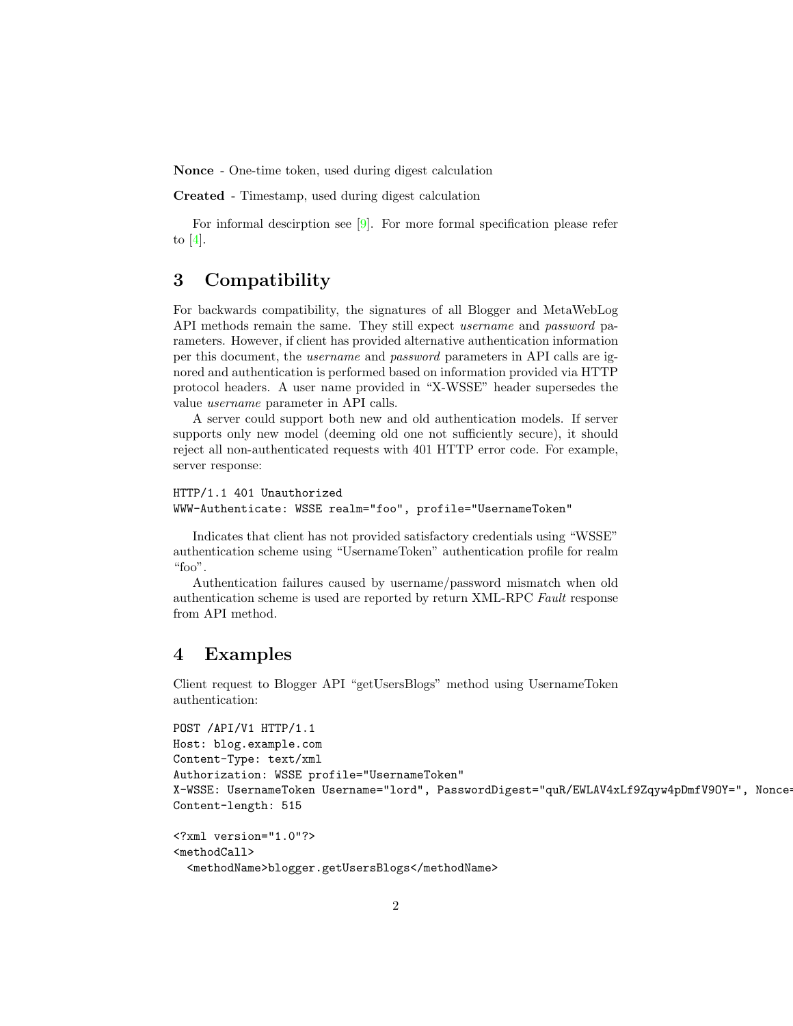Nonce - One-time token, used during digest calculation

Created - Timestamp, used during digest calculation

For informal descirption see [\[9\]](#page-2-7). For more formal specification please refer to  $[4]$ .

#### 3 Compatibility

For backwards compatibility, the signatures of all Blogger and MetaWebLog API methods remain the same. They still expect username and password parameters. However, if client has provided alternative authentication information per this document, the username and password parameters in API calls are ignored and authentication is performed based on information provided via HTTP protocol headers. A user name provided in "X-WSSE" header supersedes the value username parameter in API calls.

A server could support both new and old authentication models. If server supports only new model (deeming old one not sufficiently secure), it should reject all non-authenticated requests with 401 HTTP error code. For example, server response:

```
HTTP/1.1 401 Unauthorized
WWW-Authenticate: WSSE realm="foo", profile="UsernameToken"
```
Indicates that client has not provided satisfactory credentials using "WSSE" authentication scheme using "UsernameToken" authentication profile for realm "foo".

Authentication failures caused by username/password mismatch when old authentication scheme is used are reported by return XML-RPC Fault response from API method.

#### 4 Examples

Client request to Blogger API "getUsersBlogs" method using UsernameToken authentication:

```
POST /API/V1 HTTP/1.1
Host: blog.example.com
Content-Type: text/xml
Authorization: WSSE profile="UsernameToken"
X-WSSE: UsernameToken Username="lord", PasswordDigest="quR/EWLAV4xLf9Zqyw4pDmfV90Y=", Nonce
Content-length: 515
```

```
<?xml version="1.0"?>
<methodCall>
  <methodName>blogger.getUsersBlogs</methodName>
```